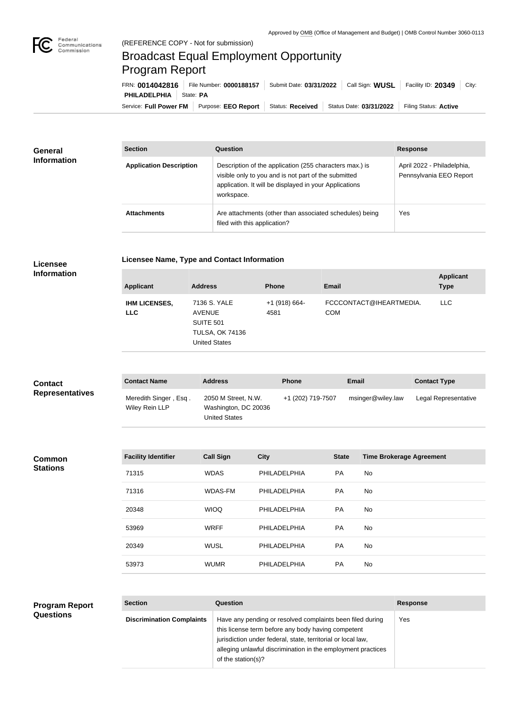

## Broadcast Equal Employment Opportunity Program Report

Service: Full Power FM Purpose: EEO Report | Status: Received | Status Date: 03/31/2022 | Filing Status: Active **PHILADELPHIA** | State: PA FRN: **0014042816** File Number: **0000188157** Submit Date: **03/31/2022** Call Sign: **WUSL** Facility ID: **20349** City:

| <b>General</b><br><b>Information</b> | <b>Section</b>                 | Question                                                                                                                                                                                | <b>Response</b>                                       |
|--------------------------------------|--------------------------------|-----------------------------------------------------------------------------------------------------------------------------------------------------------------------------------------|-------------------------------------------------------|
|                                      | <b>Application Description</b> | Description of the application (255 characters max.) is<br>visible only to you and is not part of the submitted<br>application. It will be displayed in your Applications<br>workspace. | April 2022 - Philadelphia,<br>Pennsylvania EEO Report |
|                                      | <b>Attachments</b>             | Are attachments (other than associated schedules) being<br>filed with this application?                                                                                                 | Yes                                                   |

| Licensee Name, Type and Contact Information |  |
|---------------------------------------------|--|
|---------------------------------------------|--|

**Licensee Information**

| <b>Applicant</b>                   | <b>Address</b>                                                                               | <b>Phone</b>            | Email                                 | <b>Applicant</b><br><b>Type</b> |
|------------------------------------|----------------------------------------------------------------------------------------------|-------------------------|---------------------------------------|---------------------------------|
| <b>IHM LICENSES,</b><br><b>LLC</b> | 7136 S. YALE<br>AVENUE<br><b>SUITE 501</b><br><b>TULSA, OK 74136</b><br><b>United States</b> | $+1$ (918) 664-<br>4581 | FCCCONTACT@IHEARTMEDIA.<br><b>COM</b> | <b>LLC</b>                      |

| <b>Contact</b><br><b>Representatives</b> | <b>Contact Name</b>                     | <b>Address</b>                                                      | <b>Phone</b>      | Email             | <b>Contact Type</b>  |
|------------------------------------------|-----------------------------------------|---------------------------------------------------------------------|-------------------|-------------------|----------------------|
|                                          | Meredith Singer, Esq.<br>Wiley Rein LLP | 2050 M Street, N.W.<br>Washington, DC 20036<br><b>United States</b> | +1 (202) 719-7507 | msinger@wiley.law | Legal Representative |

| <b>Common</b>   |
|-----------------|
| <b>Stations</b> |

| <b>Facility Identifier</b> | <b>Call Sign</b> | <b>City</b>  | <b>State</b> | <b>Time Brokerage Agreement</b> |
|----------------------------|------------------|--------------|--------------|---------------------------------|
| 71315                      | <b>WDAS</b>      | PHILADELPHIA | <b>PA</b>    | No                              |
| 71316                      | WDAS-FM          | PHILADELPHIA | <b>PA</b>    | No.                             |
| 20348                      | <b>WIOQ</b>      | PHILADELPHIA | <b>PA</b>    | No                              |
| 53969                      | <b>WRFF</b>      | PHILADELPHIA | <b>PA</b>    | No                              |
| 20349                      | <b>WUSL</b>      | PHILADELPHIA | <b>PA</b>    | No                              |
| 53973                      | <b>WUMR</b>      | PHILADELPHIA | <b>PA</b>    | No                              |

| <b>Program Report</b> |
|-----------------------|
| <b>Questions</b>      |

| <b>Section</b>                   | Question                                                                                                                                                                                                                                                              | <b>Response</b> |
|----------------------------------|-----------------------------------------------------------------------------------------------------------------------------------------------------------------------------------------------------------------------------------------------------------------------|-----------------|
| <b>Discrimination Complaints</b> | Have any pending or resolved complaints been filed during<br>this license term before any body having competent<br>jurisdiction under federal, state, territorial or local law,<br>alleging unlawful discrimination in the employment practices<br>of the station(s)? | Yes             |